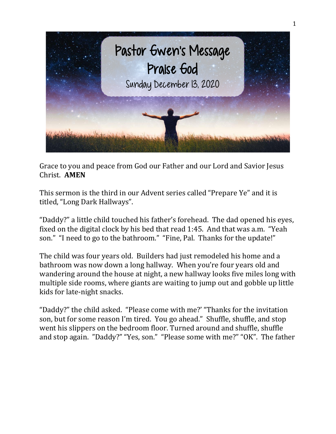

Grace to you and peace from God our Father and our Lord and Savior Jesus Christ. **AMEN**

This sermon is the third in our Advent series called "Prepare Ye" and it is titled, "Long Dark Hallways".

"Daddy?" a little child touched his father's forehead. The dad opened his eyes, fixed on the digital clock by his bed that read 1:45. And that was a.m. "Yeah son." "I need to go to the bathroom." "Fine, Pal. Thanks for the update!"

The child was four years old. Builders had just remodeled his home and a bathroom was now down a long hallway. When you're four years old and wandering around the house at night, a new hallway looks five miles long with multiple side rooms, where giants are waiting to jump out and gobble up little kids for late-night snacks.

"Daddy?" the child asked. "Please come with me?' "Thanks for the invitation son, but for some reason I'm tired. You go ahead." Shuffle, shuffle, and stop went his slippers on the bedroom floor. Turned around and shuffle, shuffle and stop again. "Daddy?" "Yes, son." "Please some with me?" "OK". The father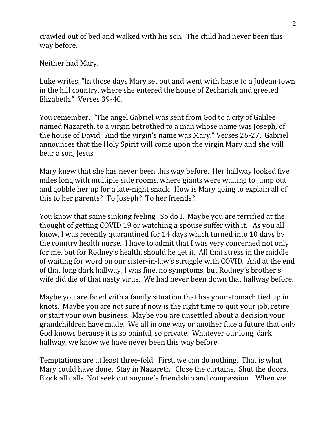crawled out of bed and walked with his son. The child had never been this way before.

Neither had Mary.

Luke writes, "In those days Mary set out and went with haste to a Judean town in the hill country, where she entered the house of Zechariah and greeted Elizabeth." Verses 39-40.

You remember. "The angel Gabriel was sent from God to a city of Galilee named Nazareth, to a virgin betrothed to a man whose name was Joseph, of the house of David. And the virgin's name was Mary." Verses 26-27. Gabriel announces that the Holy Spirit will come upon the virgin Mary and she will bear a son, Jesus.

Mary knew that she has never been this way before. Her hallway looked five miles long with multiple side rooms, where giants were waiting to jump out and gobble her up for a late-night snack. How is Mary going to explain all of this to her parents? To Joseph? To her friends?

You know that same sinking feeling. So do I. Maybe you are terrified at the thought of getting COVID 19 or watching a spouse suffer with it. As you all know, I was recently quarantined for 14 days which turned into 10 days by the country health nurse. I have to admit that I was very concerned not only for me, but for Rodney's health, should he get it. All that stress in the middle of waiting for word on our sister-in-law's struggle with COVID. And at the end of that long dark hallway, I was fine, no symptoms, but Rodney's brother's wife did die of that nasty virus. We had never been down that hallway before.

Maybe you are faced with a family situation that has your stomach tied up in knots. Maybe you are not sure if now is the right time to quit your job, retire or start your own business. Maybe you are unsettled about a decision your grandchildren have made. We all in one way or another face a future that only God knows because it is so painful, so private. Whatever our long, dark hallway, we know we have never been this way before.

Temptations are at least three-fold. First, we can do nothing. That is what Mary could have done. Stay in Nazareth. Close the curtains. Shut the doors. Block all calls. Not seek out anyone's friendship and compassion. When we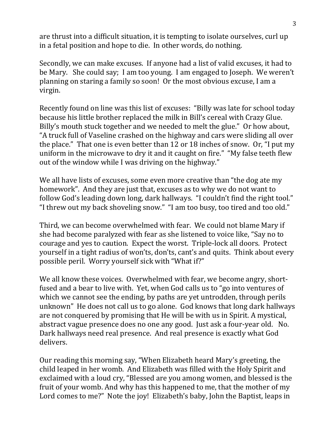are thrust into a difficult situation, it is tempting to isolate ourselves, curl up in a fetal position and hope to die. In other words, do nothing.

Secondly, we can make excuses. If anyone had a list of valid excuses, it had to be Mary. She could say; I am too young. I am engaged to Joseph. We weren't planning on staring a family so soon! Or the most obvious excuse, I am a virgin.

Recently found on line was this list of excuses: "Billy was late for school today because his little brother replaced the milk in Bill's cereal with Crazy Glue. Billy's mouth stuck together and we needed to melt the glue." Or how about, "A truck full of Vaseline crashed on the highway and cars were sliding all over the place." That one is even better than 12 or 18 inches of snow. Or, "I put my uniform in the microwave to dry it and it caught on fire." "My false teeth flew out of the window while I was driving on the highway."

We all have lists of excuses, some even more creative than "the dog ate my homework". And they are just that, excuses as to why we do not want to follow God's leading down long, dark hallways. "I couldn't find the right tool." "I threw out my back shoveling snow." "I am too busy, too tired and too old."

Third, we can become overwhelmed with fear. We could not blame Mary if she had become paralyzed with fear as she listened to voice like, "Say no to courage and yes to caution. Expect the worst. Triple-lock all doors. Protect yourself in a tight radius of won'ts, don'ts, cant's and quits. Think about every possible peril. Worry yourself sick with "What if?"

We all know these voices. Overwhelmed with fear, we become angry, shortfused and a bear to live with. Yet, when God calls us to "go into ventures of which we cannot see the ending, by paths are yet untrodden, through perils unknown" He does not call us to go alone. God knows that long dark hallways are not conquered by promising that He will be with us in Spirit. A mystical, abstract vague presence does no one any good. Just ask a four-year old. No. Dark hallways need real presence. And real presence is exactly what God delivers.

Our reading this morning say, "When Elizabeth heard Mary's greeting, the child leaped in her womb. And Elizabeth was filled with the Holy Spirit and exclaimed with a loud cry, "Blessed are you among women, and blessed is the fruit of your womb. And why has this happened to me, that the mother of my Lord comes to me?" Note the joy! Elizabeth's baby, John the Baptist, leaps in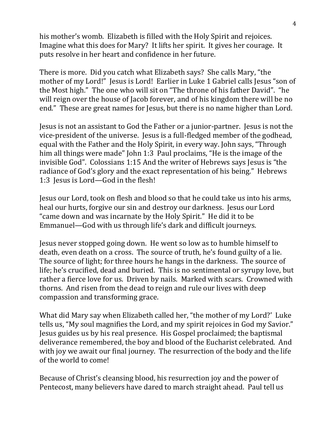his mother's womb. Elizabeth is filled with the Holy Spirit and rejoices. Imagine what this does for Mary? It lifts her spirit. It gives her courage. It puts resolve in her heart and confidence in her future.

There is more. Did you catch what Elizabeth says? She calls Mary, "the mother of my Lord!" Jesus is Lord! Earlier in Luke 1 Gabriel calls Jesus "son of the Most high." The one who will sit on "The throne of his father David". "he will reign over the house of Jacob forever, and of his kingdom there will be no end." These are great names for Jesus, but there is no name higher than Lord.

Jesus is not an assistant to God the Father or a junior-partner. Jesus is not the vice-president of the universe. Jesus is a full-fledged member of the godhead, equal with the Father and the Holy Spirit, in every way. John says, "Through him all things were made" John 1:3 Paul proclaims, "He is the image of the invisible God". Colossians 1:15 And the writer of Hebrews says Jesus is "the radiance of God's glory and the exact representation of his being." Hebrews 1:3 Jesus is Lord—God in the flesh!

Jesus our Lord, took on flesh and blood so that he could take us into his arms, heal our hurts, forgive our sin and destroy our darkness. Jesus our Lord "came down and was incarnate by the Holy Spirit." He did it to be Emmanuel—God with us through life's dark and difficult journeys.

Jesus never stopped going down. He went so low as to humble himself to death, even death on a cross. The source of truth, he's found guilty of a lie. The source of light; for three hours he hangs in the darkness. The source of life; he's crucified, dead and buried. This is no sentimental or syrupy love, but rather a fierce love for us. Driven by nails. Marked with scars. Crowned with thorns. And risen from the dead to reign and rule our lives with deep compassion and transforming grace.

What did Mary say when Elizabeth called her, "the mother of my Lord?' Luke tells us, "My soul magnifies the Lord, and my spirit rejoices in God my Savior." Jesus guides us by his real presence. His Gospel proclaimed; the baptismal deliverance remembered, the boy and blood of the Eucharist celebrated. And with joy we await our final journey. The resurrection of the body and the life of the world to come!

Because of Christ's cleansing blood, his resurrection joy and the power of Pentecost, many believers have dared to march straight ahead. Paul tell us